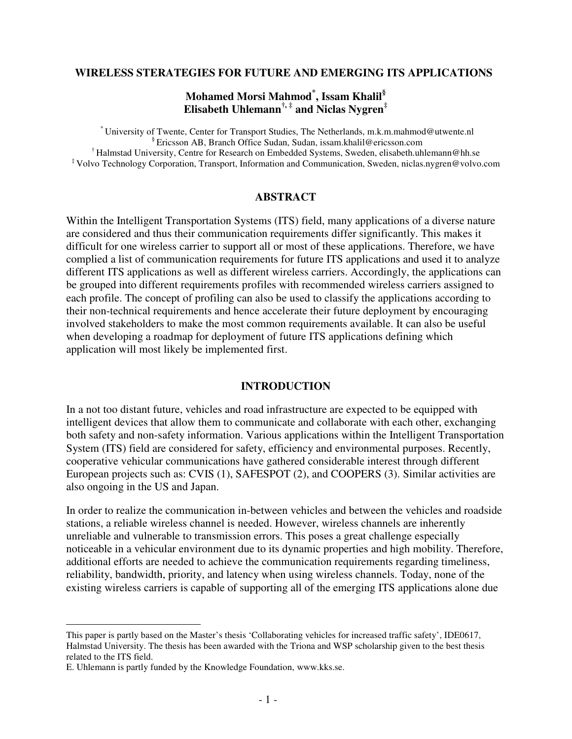### **WIRELESS STERATEGIES FOR FUTURE AND EMERGING ITS APPLICATIONS\***

## **Mohamed Morsi Mahmod\* , Issam Khalil§ Elisabeth Uhlemann†, ‡ and Niclas Nygren‡**

\* University of Twente, Center for Transport Studies, The Netherlands, m.k.m.mahmod@utwente.nl § Ericsson AB, Branch Office Sudan, Sudan, issam.khalil@ericsson.com <sup>†</sup> Halmstad University, Centre for Research on Embedded Systems, Sweden, elisabeth.uhlemann@hh.se ‡ Volvo Technology Corporation, Transport, Information and Communication, Sweden, niclas.nygren@volvo.com

### **ABSTRACT**

Within the Intelligent Transportation Systems (ITS) field, many applications of a diverse nature are considered and thus their communication requirements differ significantly. This makes it difficult for one wireless carrier to support all or most of these applications. Therefore, we have complied a list of communication requirements for future ITS applications and used it to analyze different ITS applications as well as different wireless carriers. Accordingly, the applications can be grouped into different requirements profiles with recommended wireless carriers assigned to each profile. The concept of profiling can also be used to classify the applications according to their non-technical requirements and hence accelerate their future deployment by encouraging involved stakeholders to make the most common requirements available. It can also be useful when developing a roadmap for deployment of future ITS applications defining which application will most likely be implemented first.

#### **INTRODUCTION**

In a not too distant future, vehicles and road infrastructure are expected to be equipped with intelligent devices that allow them to communicate and collaborate with each other, exchanging both safety and non-safety information. Various applications within the Intelligent Transportation System (ITS) field are considered for safety, efficiency and environmental purposes. Recently, cooperative vehicular communications have gathered considerable interest through different European projects such as: CVIS (1), SAFESPOT (2), and COOPERS (3). Similar activities are also ongoing in the US and Japan.

In order to realize the communication in-between vehicles and between the vehicles and roadside stations, a reliable wireless channel is needed. However, wireless channels are inherently unreliable and vulnerable to transmission errors. This poses a great challenge especially noticeable in a vehicular environment due to its dynamic properties and high mobility. Therefore, additional efforts are needed to achieve the communication requirements regarding timeliness, reliability, bandwidth, priority, and latency when using wireless channels. Today, none of the existing wireless carriers is capable of supporting all of the emerging ITS applications alone due

 $\overline{a}$ 

This paper is partly based on the Master's thesis 'Collaborating vehicles for increased traffic safety', IDE0617, Halmstad University. The thesis has been awarded with the Triona and WSP scholarship given to the best thesis related to the ITS field.

E. Uhlemann is partly funded by the Knowledge Foundation, www.kks.se.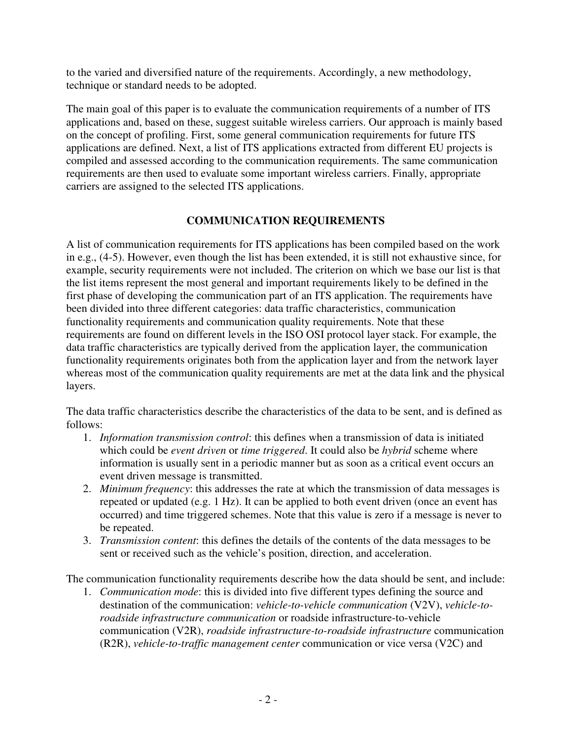to the varied and diversified nature of the requirements. Accordingly, a new methodology, technique or standard needs to be adopted.

The main goal of this paper is to evaluate the communication requirements of a number of ITS applications and, based on these, suggest suitable wireless carriers. Our approach is mainly based on the concept of profiling. First, some general communication requirements for future ITS applications are defined. Next, a list of ITS applications extracted from different EU projects is compiled and assessed according to the communication requirements. The same communication requirements are then used to evaluate some important wireless carriers. Finally, appropriate carriers are assigned to the selected ITS applications.

## **COMMUNICATION REQUIREMENTS**

A list of communication requirements for ITS applications has been compiled based on the work in e.g., (4-5). However, even though the list has been extended, it is still not exhaustive since, for example, security requirements were not included. The criterion on which we base our list is that the list items represent the most general and important requirements likely to be defined in the first phase of developing the communication part of an ITS application. The requirements have been divided into three different categories: data traffic characteristics, communication functionality requirements and communication quality requirements. Note that these requirements are found on different levels in the ISO OSI protocol layer stack. For example, the data traffic characteristics are typically derived from the application layer, the communication functionality requirements originates both from the application layer and from the network layer whereas most of the communication quality requirements are met at the data link and the physical layers.

The data traffic characteristics describe the characteristics of the data to be sent, and is defined as follows:

- 1. *Information transmission control*: this defines when a transmission of data is initiated which could be *event driven* or *time triggered*. It could also be *hybrid* scheme where information is usually sent in a periodic manner but as soon as a critical event occurs an event driven message is transmitted.
- 2. *Minimum frequency*: this addresses the rate at which the transmission of data messages is repeated or updated (e.g. 1 Hz). It can be applied to both event driven (once an event has occurred) and time triggered schemes. Note that this value is zero if a message is never to be repeated.
- 3. *Transmission content*: this defines the details of the contents of the data messages to be sent or received such as the vehicle's position, direction, and acceleration.

The communication functionality requirements describe how the data should be sent, and include:

1. *Communication mode*: this is divided into five different types defining the source and destination of the communication: *vehicle-to-vehicle communication* (V2V), *vehicle-toroadside infrastructure communication* or roadside infrastructure-to-vehicle communication (V2R), *roadside infrastructure-to-roadside infrastructure* communication (R2R), *vehicle-to-traffic management center* communication or vice versa (V2C) and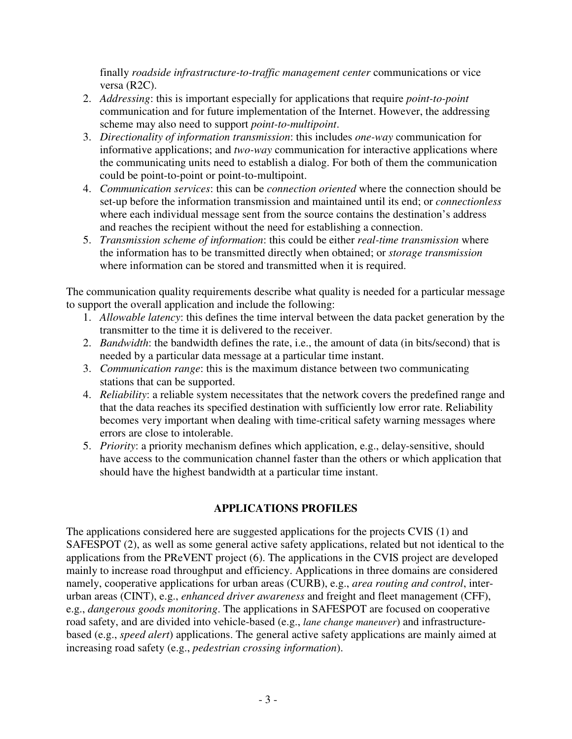finally *roadside infrastructure-to-traffic management center* communications or vice versa (R2C).

- 2. *Addressing*: this is important especially for applications that require *point-to-point* communication and for future implementation of the Internet. However, the addressing scheme may also need to support *point-to-multipoint*.
- 3. *Directionality of information transmission*: this includes *one-way* communication for informative applications; and *two-way* communication for interactive applications where the communicating units need to establish a dialog. For both of them the communication could be point-to-point or point-to-multipoint.
- 4. *Communication services*: this can be *connection oriented* where the connection should be set-up before the information transmission and maintained until its end; or *connectionless* where each individual message sent from the source contains the destination's address and reaches the recipient without the need for establishing a connection.
- 5. *Transmission scheme of information*: this could be either *real-time transmission* where the information has to be transmitted directly when obtained; or *storage transmission*  where information can be stored and transmitted when it is required.

The communication quality requirements describe what quality is needed for a particular message to support the overall application and include the following:

- 1. *Allowable latency*: this defines the time interval between the data packet generation by the transmitter to the time it is delivered to the receiver.
- 2. *Bandwidth*: the bandwidth defines the rate, i.e., the amount of data (in bits/second) that is needed by a particular data message at a particular time instant.
- 3. *Communication range*: this is the maximum distance between two communicating stations that can be supported.
- 4. *Reliability*: a reliable system necessitates that the network covers the predefined range and that the data reaches its specified destination with sufficiently low error rate. Reliability becomes very important when dealing with time-critical safety warning messages where errors are close to intolerable.
- 5. *Priority*: a priority mechanism defines which application, e.g., delay-sensitive, should have access to the communication channel faster than the others or which application that should have the highest bandwidth at a particular time instant.

# **APPLICATIONS PROFILES**

The applications considered here are suggested applications for the projects CVIS (1) and SAFESPOT (2), as well as some general active safety applications, related but not identical to the applications from the PReVENT project (6). The applications in the CVIS project are developed mainly to increase road throughput and efficiency. Applications in three domains are considered namely, cooperative applications for urban areas (CURB), e.g., *area routing and control*, interurban areas (CINT), e.g., *enhanced driver awareness* and freight and fleet management (CFF), e.g., *dangerous goods monitoring*. The applications in SAFESPOT are focused on cooperative road safety, and are divided into vehicle-based (e.g., *lane change maneuver*) and infrastructurebased (e.g., *speed alert*) applications. The general active safety applications are mainly aimed at increasing road safety (e.g., *pedestrian crossing information*).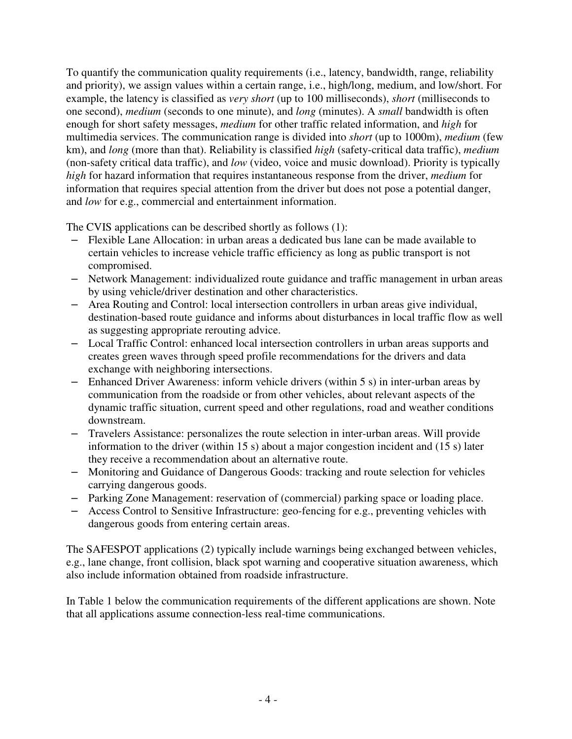To quantify the communication quality requirements (i.e., latency, bandwidth, range, reliability and priority), we assign values within a certain range, i.e., high/long, medium, and low/short. For example, the latency is classified as *very short* (up to 100 milliseconds), *short* (milliseconds to one second), *medium* (seconds to one minute), and *long* (minutes). A *small* bandwidth is often enough for short safety messages, *medium* for other traffic related information, and *high* for multimedia services. The communication range is divided into *short* (up to 1000m), *medium* (few km), and *long* (more than that). Reliability is classified *high* (safety-critical data traffic), *medium* (non-safety critical data traffic), and *low* (video, voice and music download). Priority is typically *high* for hazard information that requires instantaneous response from the driver, *medium* for information that requires special attention from the driver but does not pose a potential danger, and *low* for e.g., commercial and entertainment information.

The CVIS applications can be described shortly as follows (1):

- Flexible Lane Allocation: in urban areas a dedicated bus lane can be made available to certain vehicles to increase vehicle traffic efficiency as long as public transport is not compromised.
- Network Management: individualized route guidance and traffic management in urban areas by using vehicle/driver destination and other characteristics.
- Area Routing and Control: local intersection controllers in urban areas give individual, destination-based route guidance and informs about disturbances in local traffic flow as well as suggesting appropriate rerouting advice.
- Local Traffic Control: enhanced local intersection controllers in urban areas supports and creates green waves through speed profile recommendations for the drivers and data exchange with neighboring intersections.
- Enhanced Driver Awareness: inform vehicle drivers (within 5 s) in inter-urban areas by communication from the roadside or from other vehicles, about relevant aspects of the dynamic traffic situation, current speed and other regulations, road and weather conditions downstream.
- Travelers Assistance: personalizes the route selection in inter-urban areas. Will provide information to the driver (within 15 s) about a major congestion incident and (15 s) later they receive a recommendation about an alternative route.
- Monitoring and Guidance of Dangerous Goods: tracking and route selection for vehicles carrying dangerous goods.
- Parking Zone Management: reservation of (commercial) parking space or loading place.
- Access Control to Sensitive Infrastructure: geo-fencing for e.g., preventing vehicles with dangerous goods from entering certain areas.

The SAFESPOT applications (2) typically include warnings being exchanged between vehicles, e.g., lane change, front collision, black spot warning and cooperative situation awareness, which also include information obtained from roadside infrastructure.

In Table 1 below the communication requirements of the different applications are shown. Note that all applications assume connection-less real-time communications.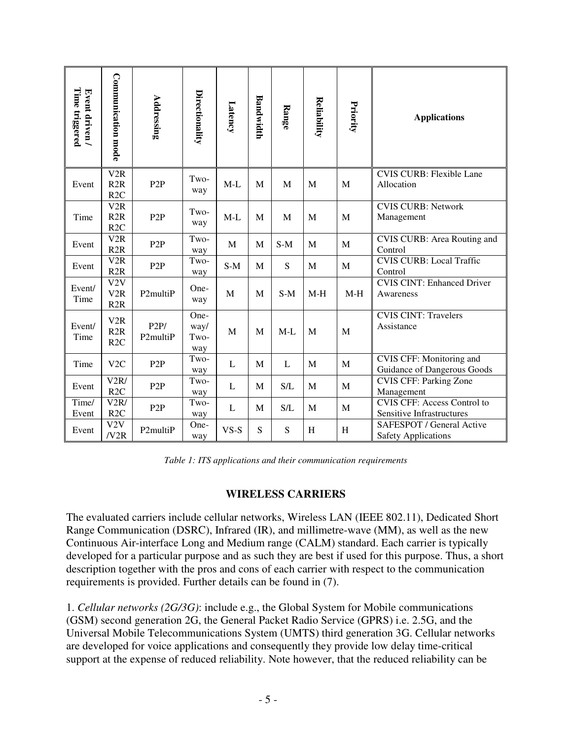| Time triggered<br>Event driven / | <b>Communication mode</b>      | Addressing       | Directionality              | Latency | Bandwidth | Range | Reliability | Priority     | <b>Applications</b>                                                    |  |
|----------------------------------|--------------------------------|------------------|-----------------------------|---------|-----------|-------|-------------|--------------|------------------------------------------------------------------------|--|
| Event                            | V <sub>2</sub> R<br>R2R<br>R2C | P <sub>2</sub> P | Two-<br>way                 | $M-L$   | M         | M     | M           | M            | <b>CVIS CURB: Flexible Lane</b><br>Allocation                          |  |
| Time                             | V2R<br>R2R<br>R <sub>2C</sub>  | P <sub>2</sub> P | Two-<br>way                 | $M-L$   | M         | M     | M           | $\mathbf{M}$ | <b>CVIS CURB: Network</b><br>Management                                |  |
| Event                            | V2R<br>R2R                     | P <sub>2</sub> P | Two-<br>way                 | M       | M         | $S-M$ | M           | $\mathbf{M}$ | CVIS CURB: Area Routing and<br>Control                                 |  |
| Event                            | V2R<br>R2R                     | P2P              | Two-<br>way                 | $S-M$   | M         | S     | M           | M            | <b>CVIS CURB: Local Traffic</b><br>Control                             |  |
| Event/<br>Time                   | V2V<br>V2R<br>R2R              | P2multiP         | One-<br>way                 | M       | M         | $S-M$ | $M-H$       | $M-H$        | <b>CVIS CINT: Enhanced Driver</b><br>Awareness                         |  |
| Event/<br>Time                   | V2R<br>R2R<br>R2C              | P2P/<br>P2multiP | One-<br>way/<br>Two-<br>way | M       | M         | $M-L$ | M           | M            | <b>CVIS CINT: Travelers</b><br>Assistance                              |  |
| Time                             | V <sub>2</sub> C               | P <sub>2</sub> P | Two-<br>way                 | L       | M         | L     | M           | M            | <b>CVIS CFF: Monitoring and</b><br>Guidance of Dangerous Goods         |  |
| Event                            | V2R/<br>R <sub>2C</sub>        | P <sub>2</sub> P | Two-<br>way                 | L       | M         | S/L   | M           | M            | <b>CVIS CFF: Parking Zone</b><br>Management                            |  |
| Time/<br>Event                   | V2R/<br>R2C                    | P <sub>2</sub> P | Two-<br>way                 | L       | M         | S/L   | M           | M            | <b>CVIS CFF: Access Control to</b><br><b>Sensitive Infrastructures</b> |  |
| Event                            | V2V<br>/V2R                    | P2multiP         | One-<br>way                 | $VS-S$  | S         | S     | H           | H            | SAFESPOT / General Active<br><b>Safety Applications</b>                |  |

*Table 1: ITS applications and their communication requirements*

## **WIRELESS CARRIERS**

The evaluated carriers include cellular networks, Wireless LAN (IEEE 802.11), Dedicated Short Range Communication (DSRC), Infrared (IR), and millimetre-wave (MM), as well as the new Continuous Air-interface Long and Medium range (CALM) standard. Each carrier is typically developed for a particular purpose and as such they are best if used for this purpose. Thus, a short description together with the pros and cons of each carrier with respect to the communication requirements is provided. Further details can be found in (7).

1. *Cellular networks (2G/3G)*: include e.g., the Global System for Mobile communications (GSM) second generation 2G, the General Packet Radio Service (GPRS) i.e. 2.5G, and the Universal Mobile Telecommunications System (UMTS) third generation 3G. Cellular networks are developed for voice applications and consequently they provide low delay time-critical support at the expense of reduced reliability. Note however, that the reduced reliability can be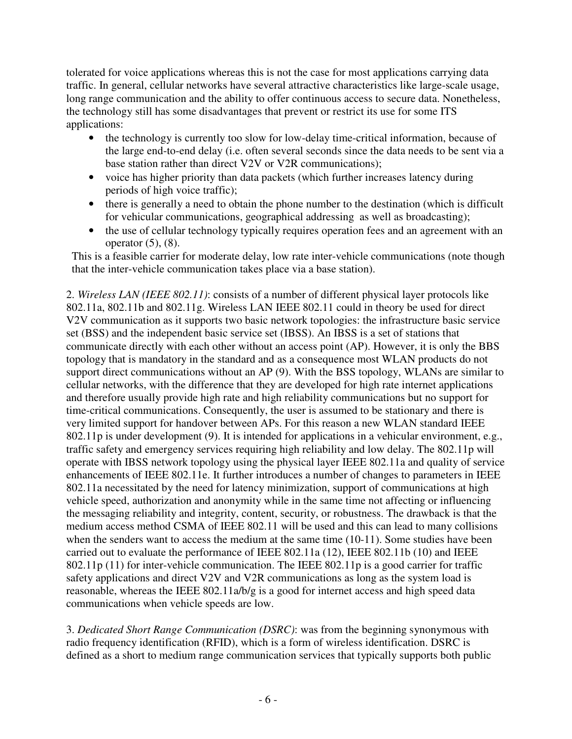tolerated for voice applications whereas this is not the case for most applications carrying data traffic. In general, cellular networks have several attractive characteristics like large-scale usage, long range communication and the ability to offer continuous access to secure data. Nonetheless, the technology still has some disadvantages that prevent or restrict its use for some ITS applications:

- the technology is currently too slow for low-delay time-critical information, because of the large end-to-end delay (i.e. often several seconds since the data needs to be sent via a base station rather than direct V2V or V2R communications);
- voice has higher priority than data packets (which further increases latency during periods of high voice traffic);
- there is generally a need to obtain the phone number to the destination (which is difficult for vehicular communications, geographical addressing as well as broadcasting);
- the use of cellular technology typically requires operation fees and an agreement with an operator  $(5)$ ,  $(8)$ .

This is a feasible carrier for moderate delay, low rate inter-vehicle communications (note though that the inter-vehicle communication takes place via a base station).

2. *Wireless LAN (IEEE 802.11)*: consists of a number of different physical layer protocols like 802.11a, 802.11b and 802.11g. Wireless LAN IEEE 802.11 could in theory be used for direct V2V communication as it supports two basic network topologies: the infrastructure basic service set (BSS) and the independent basic service set (IBSS). An IBSS is a set of stations that communicate directly with each other without an access point (AP). However, it is only the BBS topology that is mandatory in the standard and as a consequence most WLAN products do not support direct communications without an AP (9). With the BSS topology, WLANs are similar to cellular networks, with the difference that they are developed for high rate internet applications and therefore usually provide high rate and high reliability communications but no support for time-critical communications. Consequently, the user is assumed to be stationary and there is very limited support for handover between APs. For this reason a new WLAN standard IEEE 802.11p is under development (9). It is intended for applications in a vehicular environment, e.g., traffic safety and emergency services requiring high reliability and low delay. The 802.11p will operate with IBSS network topology using the physical layer IEEE 802.11a and quality of service enhancements of IEEE 802.11e. It further introduces a number of changes to parameters in IEEE 802.11a necessitated by the need for latency minimization, support of communications at high vehicle speed, authorization and anonymity while in the same time not affecting or influencing the messaging reliability and integrity, content, security, or robustness. The drawback is that the medium access method CSMA of IEEE 802.11 will be used and this can lead to many collisions when the senders want to access the medium at the same time (10-11). Some studies have been carried out to evaluate the performance of IEEE 802.11a (12), IEEE 802.11b (10) and IEEE 802.11p (11) for inter-vehicle communication. The IEEE 802.11p is a good carrier for traffic safety applications and direct V2V and V2R communications as long as the system load is reasonable, whereas the IEEE 802.11a/b/g is a good for internet access and high speed data communications when vehicle speeds are low.

3. *Dedicated Short Range Communication (DSRC)*: was from the beginning synonymous with radio frequency identification (RFID), which is a form of wireless identification. DSRC is defined as a short to medium range communication services that typically supports both public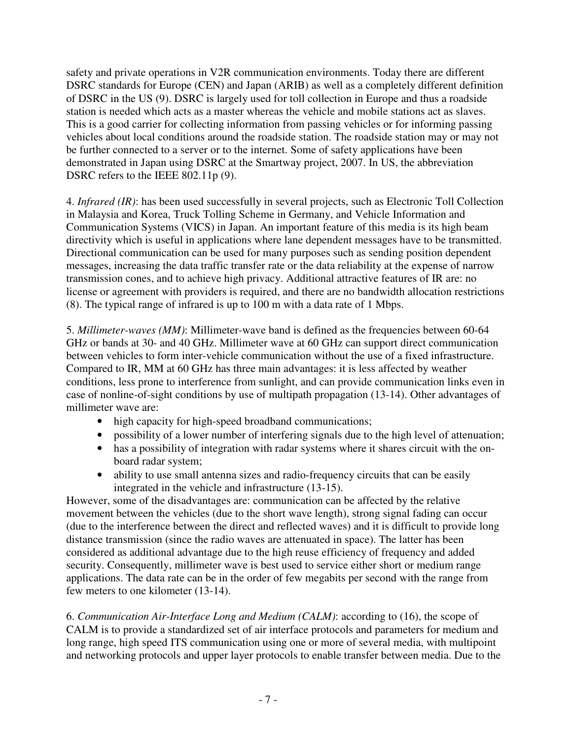safety and private operations in V2R communication environments. Today there are different DSRC standards for Europe (CEN) and Japan (ARIB) as well as a completely different definition of DSRC in the US (9). DSRC is largely used for toll collection in Europe and thus a roadside station is needed which acts as a master whereas the vehicle and mobile stations act as slaves. This is a good carrier for collecting information from passing vehicles or for informing passing vehicles about local conditions around the roadside station. The roadside station may or may not be further connected to a server or to the internet. Some of safety applications have been demonstrated in Japan using DSRC at the Smartway project, 2007. In US, the abbreviation DSRC refers to the IEEE 802.11p (9).

4. *Infrared (IR)*: has been used successfully in several projects, such as Electronic Toll Collection in Malaysia and Korea, Truck Tolling Scheme in Germany, and Vehicle Information and Communication Systems (VICS) in Japan. An important feature of this media is its high beam directivity which is useful in applications where lane dependent messages have to be transmitted. Directional communication can be used for many purposes such as sending position dependent messages, increasing the data traffic transfer rate or the data reliability at the expense of narrow transmission cones, and to achieve high privacy. Additional attractive features of IR are: no license or agreement with providers is required, and there are no bandwidth allocation restrictions (8). The typical range of infrared is up to 100 m with a data rate of 1 Mbps.

5. *Millimeter-waves (MM)*: Millimeter-wave band is defined as the frequencies between 60-64 GHz or bands at 30- and 40 GHz. Millimeter wave at 60 GHz can support direct communication between vehicles to form inter-vehicle communication without the use of a fixed infrastructure. Compared to IR, MM at 60 GHz has three main advantages: it is less affected by weather conditions, less prone to interference from sunlight, and can provide communication links even in case of nonline-of-sight conditions by use of multipath propagation (13-14). Other advantages of millimeter wave are:

- high capacity for high-speed broadband communications;
- possibility of a lower number of interfering signals due to the high level of attenuation;
- has a possibility of integration with radar systems where it shares circuit with the onboard radar system;
- ability to use small antenna sizes and radio-frequency circuits that can be easily integrated in the vehicle and infrastructure (13-15).

However, some of the disadvantages are: communication can be affected by the relative movement between the vehicles (due to the short wave length), strong signal fading can occur (due to the interference between the direct and reflected waves) and it is difficult to provide long distance transmission (since the radio waves are attenuated in space). The latter has been considered as additional advantage due to the high reuse efficiency of frequency and added security. Consequently, millimeter wave is best used to service either short or medium range applications. The data rate can be in the order of few megabits per second with the range from few meters to one kilometer (13-14).

6. *Communication Air-Interface Long and Medium (CALM)*: according to (16), the scope of CALM is to provide a standardized set of air interface protocols and parameters for medium and long range, high speed ITS communication using one or more of several media, with multipoint and networking protocols and upper layer protocols to enable transfer between media. Due to the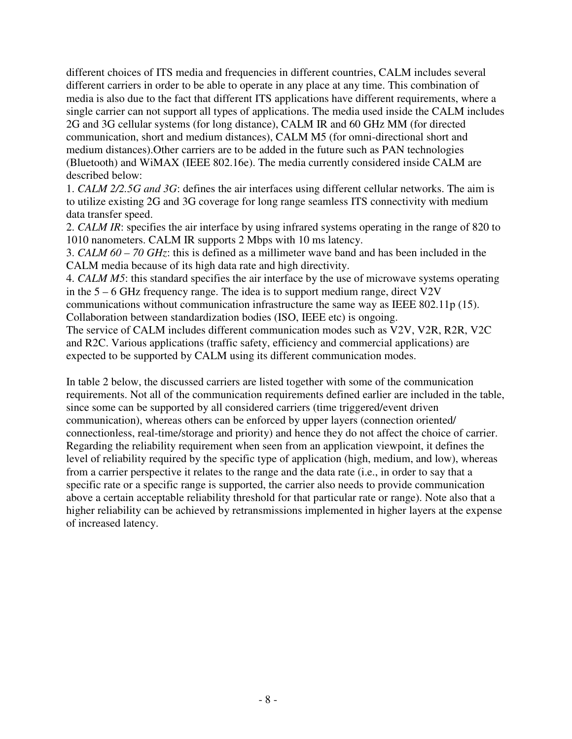different choices of ITS media and frequencies in different countries, CALM includes several different carriers in order to be able to operate in any place at any time. This combination of media is also due to the fact that different ITS applications have different requirements, where a single carrier can not support all types of applications. The media used inside the CALM includes 2G and 3G cellular systems (for long distance), CALM IR and 60 GHz MM (for directed communication, short and medium distances), CALM M5 (for omni-directional short and medium distances).Other carriers are to be added in the future such as PAN technologies (Bluetooth) and WiMAX (IEEE 802.16e). The media currently considered inside CALM are described below:

1. *CALM 2/2.5G and 3G*: defines the air interfaces using different cellular networks. The aim is to utilize existing 2G and 3G coverage for long range seamless ITS connectivity with medium data transfer speed.

2. *CALM IR*: specifies the air interface by using infrared systems operating in the range of 820 to 1010 nanometers. CALM IR supports 2 Mbps with 10 ms latency.

3. *CALM 60 – 70 GHz*: this is defined as a millimeter wave band and has been included in the CALM media because of its high data rate and high directivity.

4. *CALM M5*: this standard specifies the air interface by the use of microwave systems operating in the 5 – 6 GHz frequency range. The idea is to support medium range, direct V2V

communications without communication infrastructure the same way as IEEE 802.11p (15). Collaboration between standardization bodies (ISO, IEEE etc) is ongoing.

The service of CALM includes different communication modes such as V2V, V2R, R2R, V2C and R2C. Various applications (traffic safety, efficiency and commercial applications) are expected to be supported by CALM using its different communication modes.

In table 2 below, the discussed carriers are listed together with some of the communication requirements. Not all of the communication requirements defined earlier are included in the table, since some can be supported by all considered carriers (time triggered/event driven communication), whereas others can be enforced by upper layers (connection oriented/ connectionless, real-time/storage and priority) and hence they do not affect the choice of carrier. Regarding the reliability requirement when seen from an application viewpoint, it defines the level of reliability required by the specific type of application (high, medium, and low), whereas from a carrier perspective it relates to the range and the data rate (i.e., in order to say that a specific rate or a specific range is supported, the carrier also needs to provide communication above a certain acceptable reliability threshold for that particular rate or range). Note also that a higher reliability can be achieved by retransmissions implemented in higher layers at the expense of increased latency.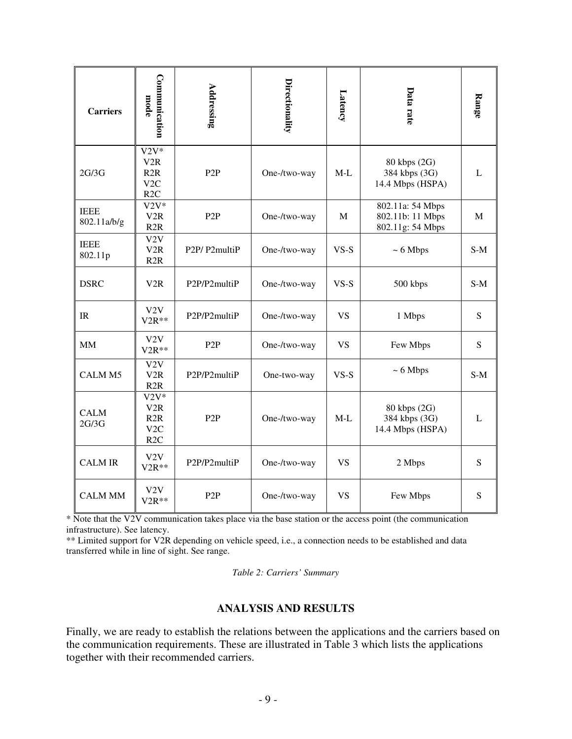| <b>Carriers</b>            | Communication<br>mode                                      | Addressing       | Directionality | Latency     | Data rate                                                | Range       |
|----------------------------|------------------------------------------------------------|------------------|----------------|-------------|----------------------------------------------------------|-------------|
| 2G/3G                      | $\overline{V2V^*}$<br>V2R<br>R2R<br>V2C<br>R <sub>2C</sub> | P <sub>2</sub> P | One-/two-way   | $M-L$       | 80 kbps (2G)<br>384 kbps (3G)<br>14.4 Mbps (HSPA)        | L           |
| <b>IEEE</b><br>802.11a/b/g | $V2V^*$<br>V <sub>2</sub> R<br>R2R                         | P <sub>2</sub> P | One-/two-way   | $\mathbf M$ | 802.11a: 54 Mbps<br>802.11b: 11 Mbps<br>802.11g: 54 Mbps | M           |
| <b>IEEE</b><br>802.11p     | V2V<br>V <sub>2</sub> R<br>R2R                             | P2P/P2multiP     | One-/two-way   | $VS-S$      | $~\sim 6$ Mbps                                           | $S-M$       |
| <b>DSRC</b>                | V2R                                                        | P2P/P2multiP     | One-/two-way   | $VS-S$      | 500 kbps                                                 | $S-M$       |
| IR                         | V2V<br>$V2R**$                                             | P2P/P2multiP     | One-/two-way   | <b>VS</b>   | 1 Mbps                                                   | S           |
| <b>MM</b>                  | V2V<br>$V2R**$                                             | P <sub>2</sub> P | One-/two-way   | <b>VS</b>   | Few Mbps                                                 | S           |
| CALM <sub>M5</sub>         | V2V<br>V <sub>2</sub> R<br>R2R                             | P2P/P2multiP     | One-two-way    | $VS-S$      | $~5$ Mbps                                                | $S-M$       |
| <b>CALM</b><br>2G/3G       | $V2V^*$<br>V2R<br>R2R<br>V2C<br>R <sub>2C</sub>            | P <sub>2</sub> P | One-/two-way   | $M-L$       | 80 kbps (2G)<br>384 kbps (3G)<br>14.4 Mbps (HSPA)        | $\mathbf L$ |
| <b>CALM IR</b>             | V2V<br>P2P/P2multiP<br>$V2R**$                             |                  | One-/two-way   | <b>VS</b>   | 2 Mbps                                                   | ${\bf S}$   |
| <b>CALM MM</b>             | V2V<br>$V2R**$                                             | P <sub>2</sub> P | One-/two-way   | <b>VS</b>   | Few Mbps                                                 | ${\bf S}$   |

\* Note that the V2V communication takes place via the base station or the access point (the communication infrastructure). See latency.

\*\* Limited support for V2R depending on vehicle speed, i.e., a connection needs to be established and data transferred while in line of sight. See range.

*Table 2: Carriers' Summary*

## **ANALYSIS AND RESULTS**

Finally, we are ready to establish the relations between the applications and the carriers based on the communication requirements. These are illustrated in Table 3 which lists the applications together with their recommended carriers.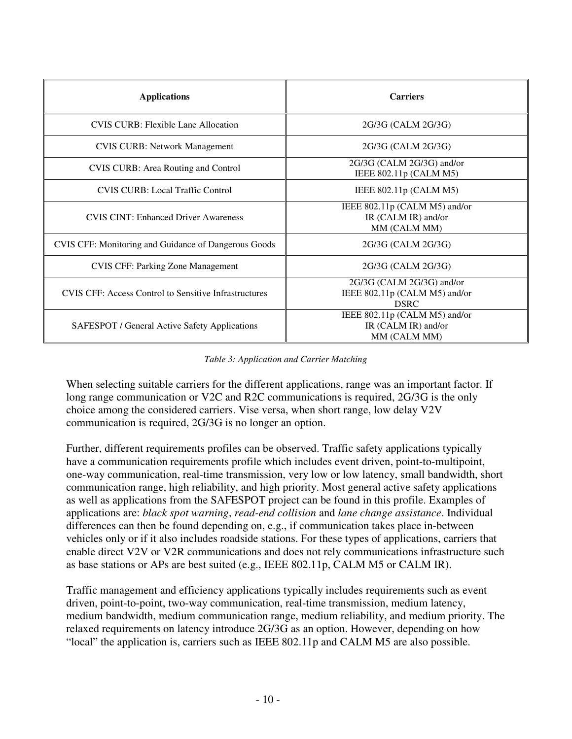| <b>Applications</b>                                          | <b>Carriers</b>                                                           |  |  |  |  |
|--------------------------------------------------------------|---------------------------------------------------------------------------|--|--|--|--|
| <b>CVIS CURB: Flexible Lane Allocation</b>                   | 2G/3G (CALM 2G/3G)                                                        |  |  |  |  |
| <b>CVIS CURB: Network Management</b>                         | 2G/3G (CALM 2G/3G)                                                        |  |  |  |  |
| <b>CVIS CURB:</b> Area Routing and Control                   | 2G/3G (CALM 2G/3G) and/or<br>IEEE 802.11p (CALM M5)                       |  |  |  |  |
| <b>CVIS CURB: Local Traffic Control</b>                      | IEEE $802.11p$ (CALM M5)                                                  |  |  |  |  |
| <b>CVIS CINT: Enhanced Driver Awareness</b>                  | IEEE 802.11p (CALM M5) and/or<br>IR (CALM IR) and/or<br>MM (CALM MM)      |  |  |  |  |
| CVIS CFF: Monitoring and Guidance of Dangerous Goods         | 2G/3G (CALM 2G/3G)                                                        |  |  |  |  |
| <b>CVIS CFF: Parking Zone Management</b>                     | 2G/3G (CALM 2G/3G)                                                        |  |  |  |  |
| <b>CVIS CFF: Access Control to Sensitive Infrastructures</b> | 2G/3G (CALM 2G/3G) and/or<br>IEEE 802.11p (CALM M5) and/or<br><b>DSRC</b> |  |  |  |  |
| SAFESPOT / General Active Safety Applications                | IEEE $802.11p$ (CALM M5) and/or<br>IR (CALM IR) and/or<br>MM (CALM MM)    |  |  |  |  |

*Table 3: Application and Carrier Matching* 

When selecting suitable carriers for the different applications, range was an important factor. If long range communication or V2C and R2C communications is required, 2G/3G is the only choice among the considered carriers. Vise versa, when short range, low delay V2V communication is required, 2G/3G is no longer an option.

Further, different requirements profiles can be observed. Traffic safety applications typically have a communication requirements profile which includes event driven, point-to-multipoint, one-way communication, real-time transmission, very low or low latency, small bandwidth, short communication range, high reliability, and high priority. Most general active safety applications as well as applications from the SAFESPOT project can be found in this profile. Examples of applications are: *black spot warning*, *read-end collision* and *lane change assistance*. Individual differences can then be found depending on, e.g., if communication takes place in-between vehicles only or if it also includes roadside stations. For these types of applications, carriers that enable direct V2V or V2R communications and does not rely communications infrastructure such as base stations or APs are best suited (e.g., IEEE 802.11p, CALM M5 or CALM IR).

Traffic management and efficiency applications typically includes requirements such as event driven, point-to-point, two-way communication, real-time transmission, medium latency, medium bandwidth, medium communication range, medium reliability, and medium priority. The relaxed requirements on latency introduce 2G/3G as an option. However, depending on how "local" the application is, carriers such as IEEE 802.11p and CALM M5 are also possible.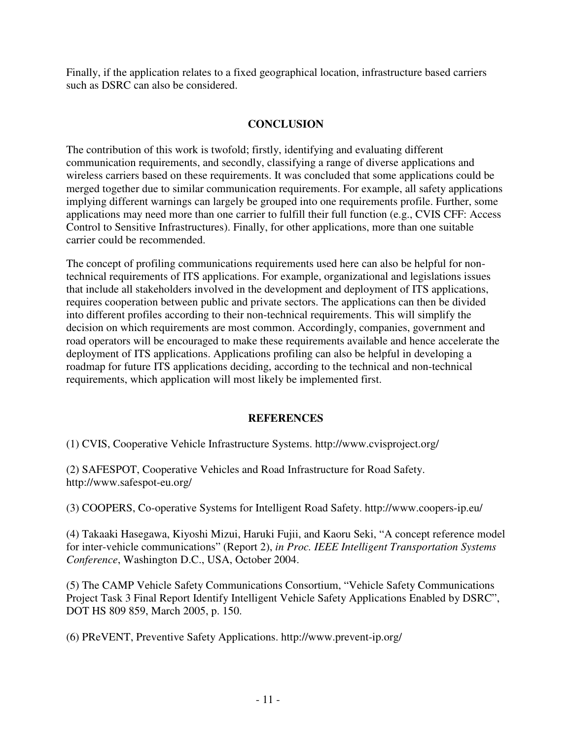Finally, if the application relates to a fixed geographical location, infrastructure based carriers such as DSRC can also be considered.

# **CONCLUSION**

The contribution of this work is twofold; firstly, identifying and evaluating different communication requirements, and secondly, classifying a range of diverse applications and wireless carriers based on these requirements. It was concluded that some applications could be merged together due to similar communication requirements. For example, all safety applications implying different warnings can largely be grouped into one requirements profile. Further, some applications may need more than one carrier to fulfill their full function (e.g., CVIS CFF: Access Control to Sensitive Infrastructures). Finally, for other applications, more than one suitable carrier could be recommended.

The concept of profiling communications requirements used here can also be helpful for nontechnical requirements of ITS applications. For example, organizational and legislations issues that include all stakeholders involved in the development and deployment of ITS applications, requires cooperation between public and private sectors. The applications can then be divided into different profiles according to their non-technical requirements. This will simplify the decision on which requirements are most common. Accordingly, companies, government and road operators will be encouraged to make these requirements available and hence accelerate the deployment of ITS applications. Applications profiling can also be helpful in developing a roadmap for future ITS applications deciding, according to the technical and non-technical requirements, which application will most likely be implemented first.

## **REFERENCES**

(1) CVIS, Cooperative Vehicle Infrastructure Systems. http://www.cvisproject.org/

(2) SAFESPOT, Cooperative Vehicles and Road Infrastructure for Road Safety. http://www.safespot-eu.org/

(3) COOPERS, Co-operative Systems for Intelligent Road Safety. http://www.coopers-ip.eu/

(4) Takaaki Hasegawa, Kiyoshi Mizui, Haruki Fujii, and Kaoru Seki, "A concept reference model for inter-vehicle communications" (Report 2), *in Proc. IEEE Intelligent Transportation Systems Conference*, Washington D.C., USA, October 2004.

(5) The CAMP Vehicle Safety Communications Consortium, "Vehicle Safety Communications Project Task 3 Final Report Identify Intelligent Vehicle Safety Applications Enabled by DSRC", DOT HS 809 859, March 2005, p. 150.

(6) PReVENT, Preventive Safety Applications. http://www.prevent-ip.org/